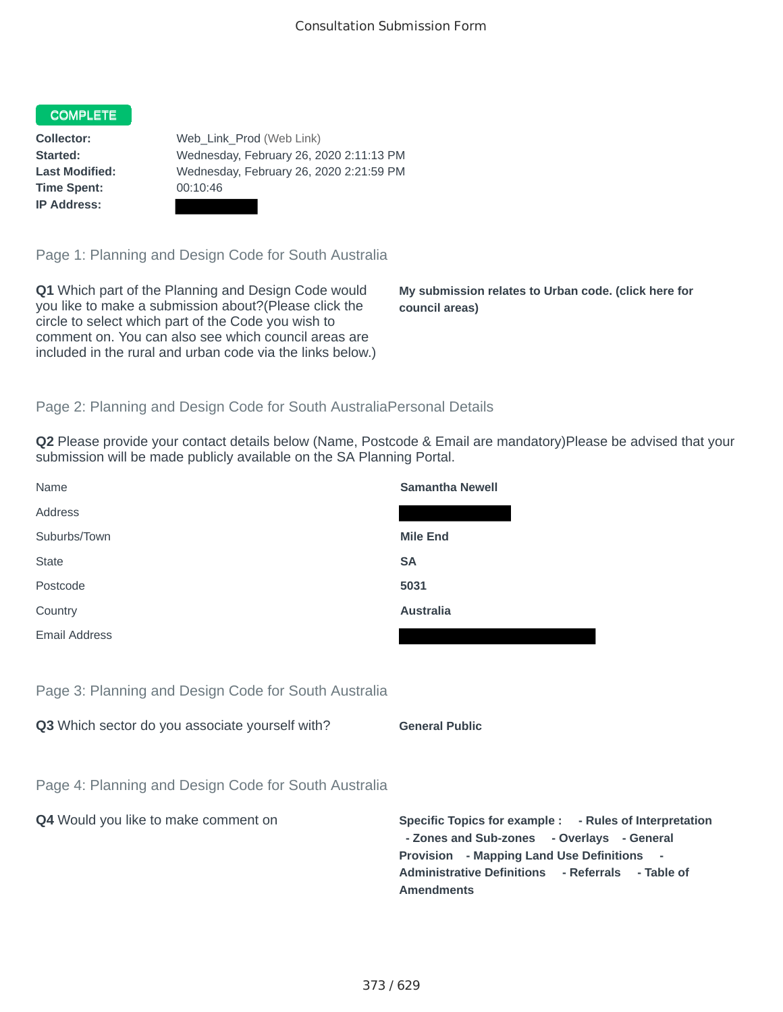## COMPLETE

**Time Spent:** 00:10:46 **IP Address:**

**Collector:** Web\_Link\_Prod (Web Link) **Started:** Wednesday, February 26, 2020 2:11:13 PM **Last Modified:** Wednesday, February 26, 2020 2:21:59 PM

Page 1: Planning and Design Code for South Australia

**Q1** Which part of the Planning and Design Code would you like to make a submission about?(Please click the circle to select which part of the Code you wish to comment on. You can also see which council areas are included in the rural and urban code via the links below.)

**My submission relates to Urban code. (click here for council areas)**

## Page 2: Planning and Design Code for South AustraliaPersonal Details

**Q2** Please provide your contact details below (Name, Postcode & Email are mandatory)Please be advised that your submission will be made publicly available on the SA Planning Portal.

| Name                                                 | <b>Samantha Newell</b>                                                                                                                                                                                                        |
|------------------------------------------------------|-------------------------------------------------------------------------------------------------------------------------------------------------------------------------------------------------------------------------------|
| Address                                              |                                                                                                                                                                                                                               |
| Suburbs/Town                                         | <b>Mile End</b>                                                                                                                                                                                                               |
| <b>State</b>                                         | <b>SA</b>                                                                                                                                                                                                                     |
| Postcode                                             | 5031                                                                                                                                                                                                                          |
| Country                                              | <b>Australia</b>                                                                                                                                                                                                              |
| Email Address                                        |                                                                                                                                                                                                                               |
|                                                      |                                                                                                                                                                                                                               |
| Page 3: Planning and Design Code for South Australia |                                                                                                                                                                                                                               |
| Q3 Which sector do you associate yourself with?      | <b>General Public</b>                                                                                                                                                                                                         |
|                                                      |                                                                                                                                                                                                                               |
| Page 4: Planning and Design Code for South Australia |                                                                                                                                                                                                                               |
| Q4 Would you like to make comment on                 | Specific Topics for example : - Rules of Interpretation<br>- Zones and Sub-zones - Overlays - General<br>Provision - Mapping Land Use Definitions -<br>Administrative Definitions - Referrals - Table of<br><b>Amendments</b> |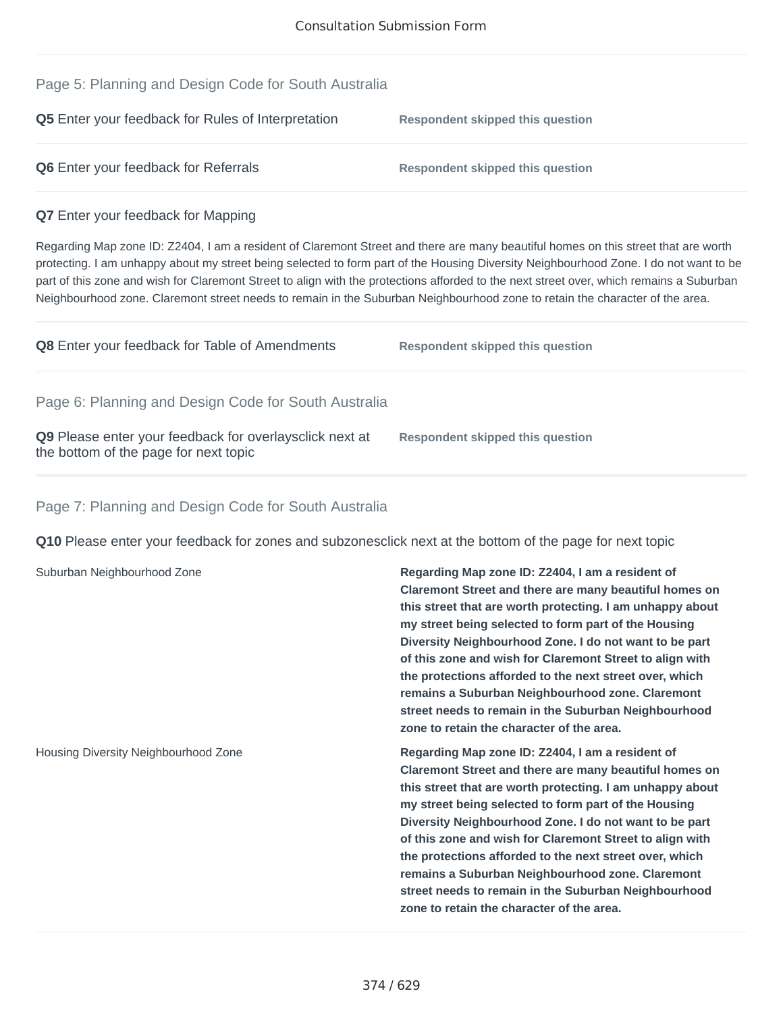| Page 5: Planning and Design Code for South Australia                                                                                                                                                                                                                                                                                                                                                                                                                                                                                                    |                                                                                                                                                                                                                                                                                                                                                                                                                                                                                                                                                                           |
|---------------------------------------------------------------------------------------------------------------------------------------------------------------------------------------------------------------------------------------------------------------------------------------------------------------------------------------------------------------------------------------------------------------------------------------------------------------------------------------------------------------------------------------------------------|---------------------------------------------------------------------------------------------------------------------------------------------------------------------------------------------------------------------------------------------------------------------------------------------------------------------------------------------------------------------------------------------------------------------------------------------------------------------------------------------------------------------------------------------------------------------------|
| Q5 Enter your feedback for Rules of Interpretation                                                                                                                                                                                                                                                                                                                                                                                                                                                                                                      | <b>Respondent skipped this question</b>                                                                                                                                                                                                                                                                                                                                                                                                                                                                                                                                   |
| Q6 Enter your feedback for Referrals                                                                                                                                                                                                                                                                                                                                                                                                                                                                                                                    | <b>Respondent skipped this question</b>                                                                                                                                                                                                                                                                                                                                                                                                                                                                                                                                   |
| Q7 Enter your feedback for Mapping                                                                                                                                                                                                                                                                                                                                                                                                                                                                                                                      |                                                                                                                                                                                                                                                                                                                                                                                                                                                                                                                                                                           |
| Regarding Map zone ID: Z2404, I am a resident of Claremont Street and there are many beautiful homes on this street that are worth<br>protecting. I am unhappy about my street being selected to form part of the Housing Diversity Neighbourhood Zone. I do not want to be<br>part of this zone and wish for Claremont Street to align with the protections afforded to the next street over, which remains a Suburban<br>Neighbourhood zone. Claremont street needs to remain in the Suburban Neighbourhood zone to retain the character of the area. |                                                                                                                                                                                                                                                                                                                                                                                                                                                                                                                                                                           |
| Q8 Enter your feedback for Table of Amendments                                                                                                                                                                                                                                                                                                                                                                                                                                                                                                          | <b>Respondent skipped this question</b>                                                                                                                                                                                                                                                                                                                                                                                                                                                                                                                                   |
| Page 6: Planning and Design Code for South Australia                                                                                                                                                                                                                                                                                                                                                                                                                                                                                                    |                                                                                                                                                                                                                                                                                                                                                                                                                                                                                                                                                                           |
| Q9 Please enter your feedback for overlaysclick next at<br>the bottom of the page for next topic                                                                                                                                                                                                                                                                                                                                                                                                                                                        | <b>Respondent skipped this question</b>                                                                                                                                                                                                                                                                                                                                                                                                                                                                                                                                   |
| Page 7: Planning and Design Code for South Australia                                                                                                                                                                                                                                                                                                                                                                                                                                                                                                    |                                                                                                                                                                                                                                                                                                                                                                                                                                                                                                                                                                           |
| Q10 Please enter your feedback for zones and subzonesclick next at the bottom of the page for next topic                                                                                                                                                                                                                                                                                                                                                                                                                                                |                                                                                                                                                                                                                                                                                                                                                                                                                                                                                                                                                                           |
| Suburban Neighbourhood Zone                                                                                                                                                                                                                                                                                                                                                                                                                                                                                                                             | Regarding Map zone ID: Z2404, I am a resident of<br>Claremont Street and there are many beautiful homes on<br>this street that are worth protecting. I am unhappy about<br>my street being selected to form part of the Housing<br>Diversity Neighbourhood Zone. I do not want to be part<br>of this zone and wish for Claremont Street to align with<br>the protections afforded to the next street over, which<br>remains a Suburban Neighbourhood zone. Claremont<br>street needs to remain in the Suburban Neighbourhood<br>zone to retain the character of the area. |
| Housing Diversity Neighbourhood Zone                                                                                                                                                                                                                                                                                                                                                                                                                                                                                                                    | Regarding Map zone ID: Z2404, I am a resident of<br>Claremont Street and there are many beautiful homes on<br>this street that are worth protecting. I am unhappy about<br>my street being selected to form part of the Housing<br>Diversity Neighbourhood Zone. I do not want to be part<br>of this zone and wish for Claremont Street to align with<br>the protections afforded to the next street over, which<br>remains a Suburban Neighbourhood zone. Claremont<br>street needs to remain in the Suburban Neighbourhood<br>zone to retain the character of the area. |